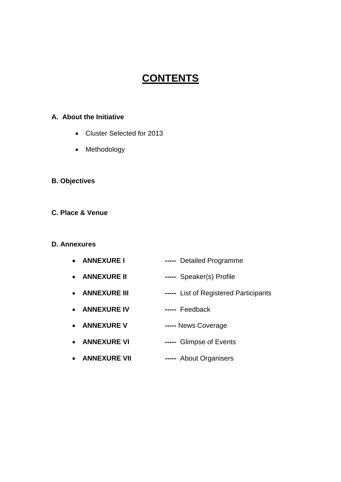# **CONTENTS**

#### **A. About the Initiative**

- Cluster Selected for 2013
- Methodology
- **B. Objectives**
- **C. Place & Venue**

#### **D. Annexures**

- **ANNEXURE I -----** Detailed Programme
- **ANNEXURE II -----** Speaker(s) Profile
- **ANNEXURE III -----** List of Registered Participants
- **ANNEXURE IV -----** Feedback
- **ANNEXURE V -----** News Coverage
- **ANNEXURE VI -----** Glimpse of Events
- **ANNEXURE VII -----** About Organisers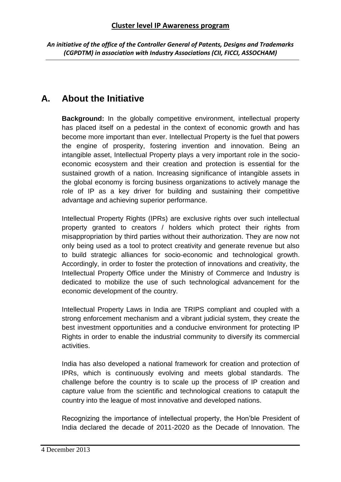# **A. About the Initiative**

**Background:** In the globally competitive environment, intellectual property has placed itself on a pedestal in the context of economic growth and has become more important than ever. Intellectual Property is the fuel that powers the engine of prosperity, fostering invention and innovation. Being an intangible asset, Intellectual Property plays a very important role in the socioeconomic ecosystem and their creation and protection is essential for the sustained growth of a nation. Increasing significance of intangible assets in the global economy is forcing business organizations to actively manage the role of IP as a key driver for building and sustaining their competitive advantage and achieving superior performance.

Intellectual Property Rights (IPRs) are exclusive rights over such intellectual property granted to creators / holders which protect their rights from misappropriation by third parties without their authorization. They are now not only being used as a tool to protect creativity and generate revenue but also to build strategic alliances for socio-economic and technological growth. Accordingly, in order to foster the protection of innovations and creativity, the Intellectual Property Office under the Ministry of Commerce and Industry is dedicated to mobilize the use of such technological advancement for the economic development of the country.

Intellectual Property Laws in India are TRIPS compliant and coupled with a strong enforcement mechanism and a vibrant judicial system, they create the best investment opportunities and a conducive environment for protecting IP Rights in order to enable the industrial community to diversify its commercial activities.

India has also developed a national framework for creation and protection of IPRs, which is continuously evolving and meets global standards. The challenge before the country is to scale up the process of IP creation and capture value from the scientific and technological creations to catapult the country into the league of most innovative and developed nations.

Recognizing the importance of intellectual property, the Hon'ble President of India declared the decade of 2011-2020 as the Decade of Innovation. The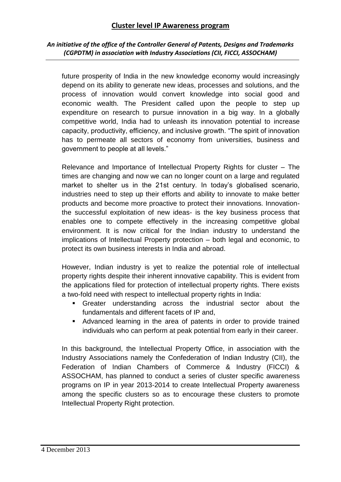#### **Cluster level IP Awareness program**

#### *An initiative of the office of the Controller General of Patents, Designs and Trademarks (CGPDTM) in association with Industry Associations (CII, FICCI, ASSOCHAM)*

future prosperity of India in the new knowledge economy would increasingly depend on its ability to generate new ideas, processes and solutions, and the process of innovation would convert knowledge into social good and economic wealth. The President called upon the people to step up expenditure on research to pursue innovation in a big way. In a globally competitive world, India had to unleash its innovation potential to increase capacity, productivity, efficiency, and inclusive growth. "The spirit of innovation has to permeate all sectors of economy from universities, business and government to people at all levels."

Relevance and Importance of Intellectual Property Rights for cluster – The times are changing and now we can no longer count on a large and regulated market to shelter us in the 21st century. In today's globalised scenario, industries need to step up their efforts and ability to innovate to make better products and become more proactive to protect their innovations. Innovationthe successful exploitation of new ideas- is the key business process that enables one to compete effectively in the increasing competitive global environment. It is now critical for the Indian industry to understand the implications of Intellectual Property protection – both legal and economic, to protect its own business interests in India and abroad.

However, Indian industry is yet to realize the potential role of intellectual property rights despite their inherent innovative capability. This is evident from the applications filed for protection of intellectual property rights. There exists a two-fold need with respect to intellectual property rights in India:

- Greater understanding across the industrial sector about the fundamentals and different facets of IP and,
- Advanced learning in the area of patents in order to provide trained individuals who can perform at peak potential from early in their career.

In this background, the Intellectual Property Office, in association with the Industry Associations namely the Confederation of Indian Industry (CII), the Federation of Indian Chambers of Commerce & Industry (FICCI) & ASSOCHAM, has planned to conduct a series of cluster specific awareness programs on IP in year 2013-2014 to create Intellectual Property awareness among the specific clusters so as to encourage these clusters to promote Intellectual Property Right protection.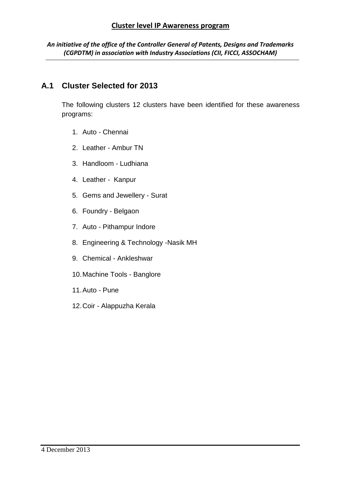#### **A.1 Cluster Selected for 2013**

The following clusters 12 clusters have been identified for these awareness programs:

- 1. Auto Chennai
- 2. Leather Ambur TN
- 3. Handloom Ludhiana
- 4. Leather Kanpur
- 5. Gems and Jewellery Surat
- 6. Foundry Belgaon
- 7. Auto Pithampur Indore
- 8. Engineering & Technology -Nasik MH
- 9. Chemical Ankleshwar
- 10.Machine Tools Banglore
- 11.Auto Pune
- 12.Coir Alappuzha Kerala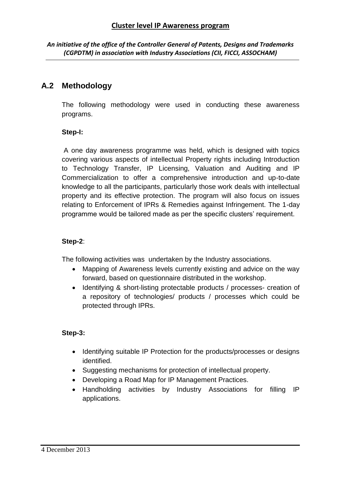#### **A.2 Methodology**

The following methodology were used in conducting these awareness programs.

#### **Step-I:**

A one day awareness programme was held, which is designed with topics covering various aspects of intellectual Property rights including Introduction to Technology Transfer, IP Licensing, Valuation and Auditing and IP Commercialization to offer a comprehensive introduction and up-to-date knowledge to all the participants, particularly those work deals with intellectual property and its effective protection. The program will also focus on issues relating to Enforcement of IPRs & Remedies against Infringement. The 1-day programme would be tailored made as per the specific clusters' requirement.

#### **Step-2**:

The following activities was undertaken by the Industry associations.

- Mapping of Awareness levels currently existing and advice on the way forward, based on questionnaire distributed in the workshop.
- Identifying & short-listing protectable products / processes- creation of a repository of technologies/ products / processes which could be protected through IPRs.

#### **Step-3:**

- Identifying suitable IP Protection for the products/processes or designs identified.
- Suggesting mechanisms for protection of intellectual property.
- Developing a Road Map for IP Management Practices.
- Handholding activities by Industry Associations for filling IP applications.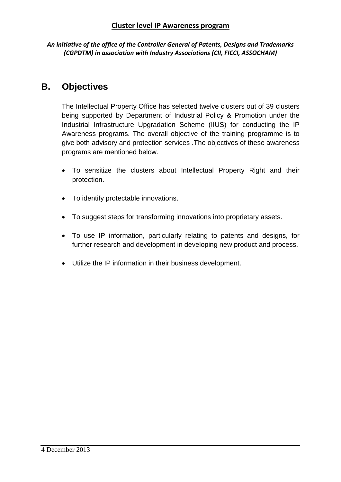## **B. Objectives**

The Intellectual Property Office has selected twelve clusters out of 39 clusters being supported by Department of Industrial Policy & Promotion under the Industrial Infrastructure Upgradation Scheme (IIUS) for conducting the IP Awareness programs. The overall objective of the training programme is to give both advisory and protection services .The objectives of these awareness programs are mentioned below.

- To sensitize the clusters about Intellectual Property Right and their protection.
- To identify protectable innovations.
- To suggest steps for transforming innovations into proprietary assets.
- To use IP information, particularly relating to patents and designs, for further research and development in developing new product and process.
- Utilize the IP information in their business development.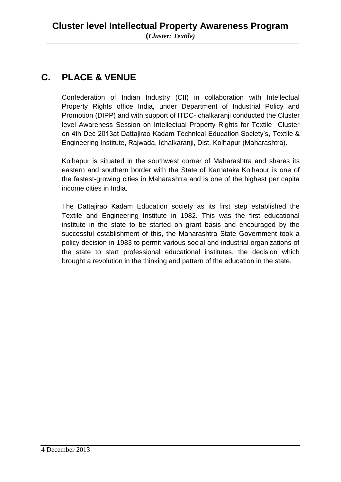# **C. PLACE & VENUE**

Confederation of Indian Industry (CII) in collaboration with Intellectual Property Rights office India, under Department of Industrial Policy and Promotion (DIPP) and with support of ITDC-Ichalkaranji conducted the Cluster level Awareness Session on Intellectual Property Rights for Textile Cluster on 4th Dec 2013at Dattajirao Kadam Technical Education Society's, Textile & Engineering Institute, Rajwada, Ichalkaranji, Dist. Kolhapur (Maharashtra).

Kolhapur is situated in the southwest corner of Maharashtra and shares its eastern and southern border with the State of Karnataka Kolhapur is one of the fastest-growing cities in Maharashtra and is one of the highest per capita income cities in India.

The Dattajirao Kadam Education society as its first step established the Textile and Engineering Institute in 1982. This was the first educational institute in the state to be started on grant basis and encouraged by the successful establishment of this, the Maharashtra State Government took a policy decision in 1983 to permit various social and industrial organizations of the state to start professional educational institutes, the decision which brought a revolution in the thinking and pattern of the education in the state.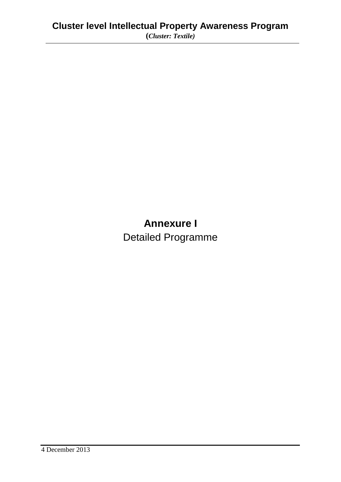# **Annexure I** Detailed Programme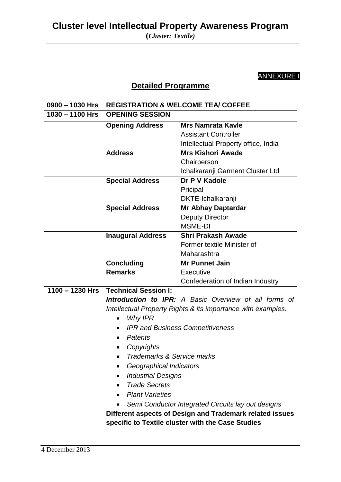# ANNEXURE I

## **Detailed Programme**

| 0900 - 1030 Hrs   | <b>REGISTRATION &amp; WELCOME TEA/ COFFEE</b>                |                                     |  |
|-------------------|--------------------------------------------------------------|-------------------------------------|--|
| $1030 - 1100$ Hrs | <b>OPENING SESSION</b>                                       |                                     |  |
|                   | <b>Opening Address</b>                                       | <b>Mrs Namrata Kavle</b>            |  |
|                   |                                                              | <b>Assistant Controller</b>         |  |
|                   |                                                              | Intellectual Property office, India |  |
|                   | <b>Address</b>                                               | <b>Mrs Kishori Awade</b>            |  |
|                   |                                                              | Chairperson                         |  |
|                   |                                                              | Ichalkaranji Garment Cluster Ltd    |  |
|                   | <b>Special Address</b>                                       | Dr P V Kadole                       |  |
|                   |                                                              | Pricipal                            |  |
|                   |                                                              | <b>DKTE-Ichalkaranji</b>            |  |
|                   | <b>Special Address</b>                                       | <b>Mr Abhay Daptardar</b>           |  |
|                   |                                                              | <b>Deputy Director</b>              |  |
|                   |                                                              | <b>MSME-DI</b>                      |  |
|                   | <b>Inaugural Address</b>                                     | <b>Shri Prakash Awade</b>           |  |
|                   |                                                              | Former textile Minister of          |  |
|                   |                                                              | Maharashtra                         |  |
|                   | <b>Concluding</b>                                            | <b>Mr Punnet Jain</b>               |  |
|                   | <b>Remarks</b>                                               | Executive                           |  |
|                   |                                                              | Confederation of Indian Industry    |  |
| $1100 - 1230$ Hrs | <b>Technical Session I:</b>                                  |                                     |  |
|                   | Introduction to IPR: A Basic Overview of all forms of        |                                     |  |
|                   | Intellectual Property Rights & its importance with examples. |                                     |  |
|                   | <b>Why IPR</b>                                               |                                     |  |
|                   | <b>IPR and Business Competitiveness</b>                      |                                     |  |
|                   | <b>Patents</b><br>$\bullet$                                  |                                     |  |
|                   | Copyrights<br>$\bullet$                                      |                                     |  |
|                   | Trademarks & Service marks                                   |                                     |  |
|                   | Geographical Indicators                                      |                                     |  |
|                   | <b>Industrial Designs</b>                                    |                                     |  |
|                   | <b>Trade Secrets</b>                                         |                                     |  |
|                   | <b>Plant Varieties</b>                                       |                                     |  |
|                   | Semi Conductor Integrated Circuits lay out designs           |                                     |  |
|                   | Different aspects of Design and Trademark related issues     |                                     |  |
|                   | specific to Textile cluster with the Case Studies            |                                     |  |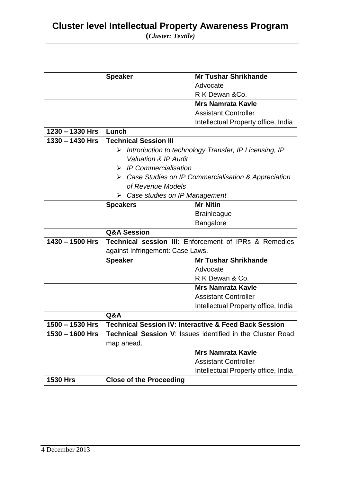|                   | <b>Speaker</b>                                                         | <b>Mr Tushar Shrikhande</b>                                      |  |
|-------------------|------------------------------------------------------------------------|------------------------------------------------------------------|--|
|                   |                                                                        | Advocate                                                         |  |
|                   |                                                                        | R K Dewan & Co.                                                  |  |
|                   |                                                                        | <b>Mrs Namrata Kavle</b>                                         |  |
|                   |                                                                        | <b>Assistant Controller</b>                                      |  |
|                   |                                                                        | Intellectual Property office, India                              |  |
| $1230 - 1330$ Hrs | Lunch                                                                  |                                                                  |  |
| $1330 - 1430$ Hrs | <b>Technical Session III</b>                                           |                                                                  |  |
|                   | $\triangleright$ Introduction to technology Transfer, IP Licensing, IP |                                                                  |  |
|                   | Valuation & IP Audit                                                   |                                                                  |  |
|                   | $\triangleright$ IP Commercialisation                                  |                                                                  |  |
|                   | $\triangleright$ Case Studies on IP Commercialisation & Appreciation   |                                                                  |  |
|                   | of Revenue Models                                                      |                                                                  |  |
|                   | $\triangleright$ Case studies on IP Management                         |                                                                  |  |
|                   | <b>Speakers</b>                                                        | <b>Mr Nitin</b>                                                  |  |
|                   |                                                                        | <b>Brainleague</b>                                               |  |
|                   |                                                                        | <b>Bangalore</b>                                                 |  |
|                   |                                                                        |                                                                  |  |
|                   | <b>Q&amp;A Session</b>                                                 |                                                                  |  |
| $1430 - 1500$ Hrs |                                                                        | Technical session III: Enforcement of IPRs & Remedies            |  |
|                   | against Infringement: Case Laws.                                       |                                                                  |  |
|                   | <b>Speaker</b>                                                         | <b>Mr Tushar Shrikhande</b>                                      |  |
|                   |                                                                        | Advocate                                                         |  |
|                   |                                                                        | R K Dewan & Co.                                                  |  |
|                   |                                                                        | <b>Mrs Namrata Kavle</b>                                         |  |
|                   |                                                                        | <b>Assistant Controller</b>                                      |  |
|                   |                                                                        | Intellectual Property office, India                              |  |
|                   | Q&A                                                                    |                                                                  |  |
| $1500 - 1530$ Hrs |                                                                        | <b>Technical Session IV: Interactive &amp; Feed Back Session</b> |  |
| 1530 - 1600 Hrs   |                                                                        | Technical Session V: Issues identified in the Cluster Road       |  |
|                   | map ahead.                                                             |                                                                  |  |
|                   |                                                                        | <b>Mrs Namrata Kavle</b>                                         |  |
|                   |                                                                        | <b>Assistant Controller</b>                                      |  |
|                   |                                                                        | Intellectual Property office, India                              |  |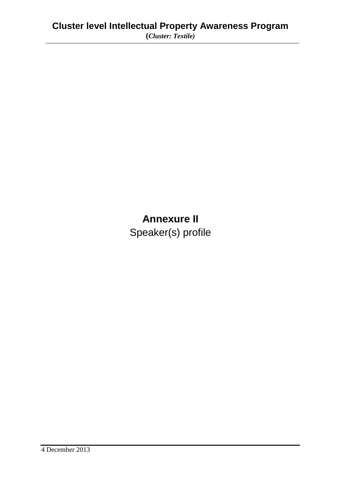# **Annexure II**

Speaker(s) profile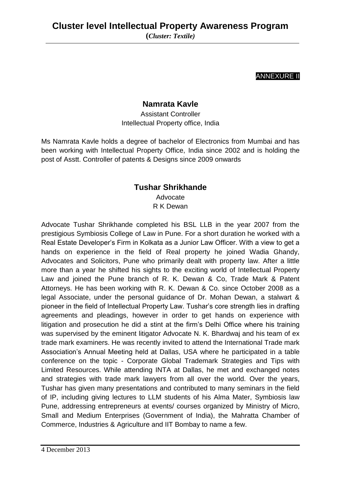#### ANNEXURE II

### **Namrata Kavle**

Assistant Controller Intellectual Property office, India

Ms Namrata Kavle holds a degree of bachelor of Electronics from Mumbai and has been working with Intellectual Property Office, India since 2002 and is holding the post of Asstt. Controller of patents & Designs since 2009 onwards

#### **Tushar Shrikhande**

Advocate R K Dewan

Advocate Tushar Shrikhande completed his BSL LLB in the year 2007 from the prestigious Symbiosis College of Law in Pune. For a short duration he worked with a Real Estate Developer's Firm in Kolkata as a Junior Law Officer. With a view to get a hands on experience in the field of Real property he joined Wadia Ghandy, Advocates and Solicitors, Pune who primarily dealt with property law. After a little more than a year he shifted his sights to the exciting world of Intellectual Property Law and joined the Pune branch of R. K. Dewan & Co, Trade Mark & Patent Attorneys. He has been working with R. K. Dewan & Co. since October 2008 as a legal Associate, under the personal guidance of Dr. Mohan Dewan, a stalwart & pioneer in the field of Intellectual Property Law. Tushar's core strength lies in drafting agreements and pleadings, however in order to get hands on experience with litigation and prosecution he did a stint at the firm's Delhi Office where his training was supervised by the eminent litigator Advocate N. K. Bhardwaj and his team of ex trade mark examiners. He was recently invited to attend the International Trade mark Association's Annual Meeting held at Dallas, USA where he participated in a table conference on the topic - Corporate Global Trademark Strategies and Tips with Limited Resources. While attending INTA at Dallas, he met and exchanged notes and strategies with trade mark lawyers from all over the world. Over the years, Tushar has given many presentations and contributed to many seminars in the field of IP, including giving lectures to LLM students of his Alma Mater, Symbiosis law Pune, addressing entrepreneurs at events/ courses organized by Ministry of Micro, Small and Medium Enterprises (Government of India), the Mahratta Chamber of Commerce, Industries & Agriculture and IIT Bombay to name a few.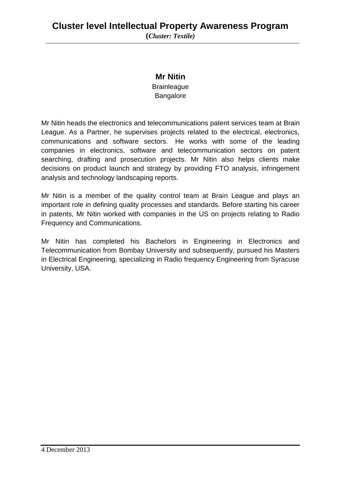#### **Mr Nitin**

**Brainleague** Bangalore

Mr Nitin heads the electronics and telecommunications patent services team at Brain League. As a Partner, he supervises projects related to the electrical, electronics, communications and software sectors. He works with some of the leading companies in electronics, software and telecommunication sectors on patent searching, drafting and prosecution projects. Mr Nitin also helps clients make decisions on product launch and strategy by providing FTO analysis, infringement analysis and technology landscaping reports.

Mr Nitin is a member of the quality control team at Brain League and plays an important role in defining quality processes and standards. Before starting his career in patents, Mr Nitin worked with companies in the US on projects relating to Radio Frequency and Communications.

Mr Nitin has completed his Bachelors in Engineering in Electronics and Telecommunication from Bombay University and subsequently, pursued his Masters in Electrical Engineering, specializing in Radio frequency Engineering from Syracuse University, USA.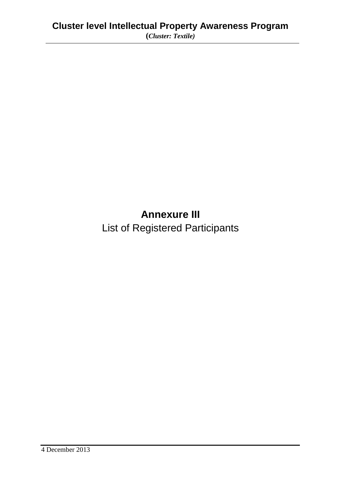# **Annexure III**

List of Registered Participants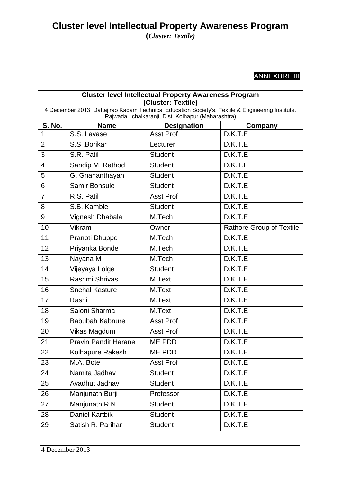# **ANNEXURE III**

| <b>Cluster level Intellectual Property Awareness Program</b>                                                                                                                   |                             |                    |                                 |  |
|--------------------------------------------------------------------------------------------------------------------------------------------------------------------------------|-----------------------------|--------------------|---------------------------------|--|
| (Cluster: Textile)<br>4 December 2013; Dattajirao Kadam Technical Education Society's, Textile & Engineering Institute,<br>Rajwada, Ichalkaranji, Dist. Kolhapur (Maharashtra) |                             |                    |                                 |  |
| <b>S. No.</b>                                                                                                                                                                  | <b>Name</b>                 | <b>Designation</b> | Company                         |  |
| 1                                                                                                                                                                              | S.S. Lavase                 | <b>Asst Prof</b>   | D.K.T.E                         |  |
| $\overline{2}$                                                                                                                                                                 | S.S. Borikar                | Lecturer           | D.K.T.E                         |  |
| 3                                                                                                                                                                              | S.R. Patil                  | <b>Student</b>     | D.K.T.E                         |  |
| 4                                                                                                                                                                              | Sandip M. Rathod            | <b>Student</b>     | D.K.T.E                         |  |
| 5                                                                                                                                                                              | G. Gnananthayan             | <b>Student</b>     | D.K.T.E                         |  |
| 6                                                                                                                                                                              | Samir Bonsule               | <b>Student</b>     | D.K.T.E                         |  |
| $\overline{7}$                                                                                                                                                                 | R.S. Patil                  | <b>Asst Prof</b>   | D.K.T.E                         |  |
| 8                                                                                                                                                                              | S.B. Kamble                 | <b>Student</b>     | D.K.T.E                         |  |
| 9                                                                                                                                                                              | Vignesh Dhabala             | M.Tech             | D.K.T.E                         |  |
| 10                                                                                                                                                                             | Vikram                      | Owner              | <b>Rathore Group of Textile</b> |  |
| 11                                                                                                                                                                             | Pranoti Dhuppe              | M.Tech             | D.K.T.E                         |  |
| 12                                                                                                                                                                             | Priyanka Bonde              | M.Tech             | D.K.T.E                         |  |
| 13                                                                                                                                                                             | Nayana M                    | M.Tech             | D.K.T.E                         |  |
| 14                                                                                                                                                                             | Vijeyaya Lolge              | <b>Student</b>     | D.K.T.E                         |  |
| 15                                                                                                                                                                             | Rashmi Shrivas              | M.Text             | D.K.T.E                         |  |
| 16                                                                                                                                                                             | <b>Snehal Kasture</b>       | M.Text             | D.K.T.E                         |  |
| 17                                                                                                                                                                             | Rashi                       | M.Text             | D.K.T.E                         |  |
| 18                                                                                                                                                                             | Saloni Sharma               | M.Text             | D.K.T.E                         |  |
| 19                                                                                                                                                                             | <b>Babubah Kabnure</b>      | <b>Asst Prof</b>   | D.K.T.E                         |  |
| 20                                                                                                                                                                             | Vikas Magdum                | <b>Asst Prof</b>   | D.K.T.E                         |  |
| 21                                                                                                                                                                             | <b>Pravin Pandit Harane</b> | ME PDD             | D.K.T.E                         |  |
| 22                                                                                                                                                                             | Kolhapure Rakesh            | ME PDD             | D.K.T.E                         |  |
| 23                                                                                                                                                                             | M.A. Bote                   | <b>Asst Prof</b>   | D.K.T.E                         |  |
| 24                                                                                                                                                                             | Namita Jadhav               | <b>Student</b>     | D.K.T.E                         |  |
| 25                                                                                                                                                                             | Avadhut Jadhav              | <b>Student</b>     | D.K.T.E                         |  |
| 26                                                                                                                                                                             | Manjunath Burji             | Professor          | D.K.T.E                         |  |
| 27                                                                                                                                                                             | Manjunath R N               | <b>Student</b>     | D.K.T.E                         |  |
| 28                                                                                                                                                                             | <b>Daniel Kartbik</b>       | <b>Student</b>     | D.K.T.E                         |  |
| 29                                                                                                                                                                             | Satish R. Parihar           | <b>Student</b>     | D.K.T.E                         |  |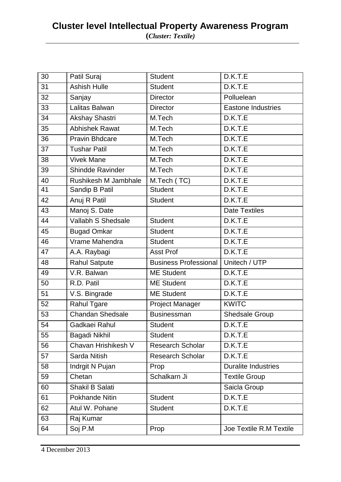| 30 | Patil Suraj            | <b>Student</b>               | D.K.T.E                    |
|----|------------------------|------------------------------|----------------------------|
| 31 | <b>Ashish Hulle</b>    | <b>Student</b>               | D.K.T.E                    |
| 32 | Sanjay                 | <b>Director</b>              | Polluelean                 |
| 33 | Lalitas Balwan         | <b>Director</b>              | <b>Eastone Industries</b>  |
| 34 | <b>Akshay Shastri</b>  | M.Tech                       | D.K.T.E                    |
| 35 | <b>Abhishek Rawat</b>  | M.Tech                       | D.K.T.E                    |
| 36 | Pravin Bhdcare         | M.Tech                       | D.K.T.E                    |
| 37 | <b>Tushar Patil</b>    | M.Tech                       | D.K.T.E                    |
| 38 | <b>Vivek Mane</b>      | M.Tech                       | D.K.T.E                    |
| 39 | Shindde Ravinder       | M.Tech                       | D.K.T.E                    |
| 40 | Rushikesh M Jambhale   | M.Tech (TC)                  | D.K.T.E                    |
| 41 | Sandip B Patil         | <b>Student</b>               | D.K.T.E                    |
| 42 | Anuj R Patil           | <b>Student</b>               | D.K.T.E                    |
| 43 | Manoj S. Date          |                              | <b>Date Textiles</b>       |
| 44 | Vallabh S Shedsale     | <b>Student</b>               | D.K.T.E                    |
| 45 | <b>Bugad Omkar</b>     | <b>Student</b>               | D.K.T.E                    |
| 46 | Vrame Mahendra         | <b>Student</b>               | D.K.T.E                    |
| 47 | A.A. Raybagi           | <b>Asst Prof</b>             | D.K.T.E                    |
| 48 | Rahul Satpute          | <b>Business Professional</b> | Unitech / UTP              |
| 49 | V.R. Balwan            | <b>ME Student</b>            | D.K.T.E                    |
| 50 | R.D. Patil             | <b>ME Student</b>            | D.K.T.E                    |
| 51 | V.S. Bingrade          | <b>ME Student</b>            | D.K.T.E                    |
| 52 | Rahul Tgare            | <b>Project Manager</b>       | <b>KWITC</b>               |
| 53 | Chandan Shedsale       | Businessman                  | <b>Shedsale Group</b>      |
| 54 | Gadkaei Rahul          | <b>Student</b>               | D.K.T.E                    |
| 55 | Bagadi Nikhil          | <b>Student</b>               | D.K.T.E                    |
| 56 | Chavan Hrishikesh V    | <b>Research Scholar</b>      | D.K.T.E                    |
| 57 | Sarda Nitish           | <b>Research Scholar</b>      | D.K.T.E                    |
| 58 | Indrgit N Pujan        | Prop                         | <b>Duralite Industries</b> |
| 59 | Chetan                 | Schalkarn Ji                 | <b>Textile Group</b>       |
| 60 | <b>Shakil B Salati</b> |                              | Saicla Group               |
| 61 | Pokhande Nitin         | <b>Student</b>               | D.K.T.E                    |
| 62 | Atul W. Pohane         | <b>Student</b>               | D.K.T.E                    |
|    |                        |                              |                            |
| 63 | Raj Kumar              |                              |                            |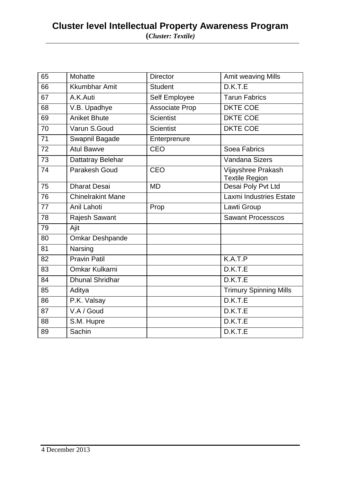| 65 | Mohatte                  | <b>Director</b>       | Amit weaving Mills                          |
|----|--------------------------|-----------------------|---------------------------------------------|
| 66 | Kkumbhar Amit            | <b>Student</b>        | D.K.T.E                                     |
| 67 | A.K.Auti                 | Self Employee         | <b>Tarun Fabrics</b>                        |
| 68 | V.B. Upadhye             | <b>Associate Prop</b> | <b>DKTE COE</b>                             |
| 69 | <b>Aniket Bhute</b>      | <b>Scientist</b>      | <b>DKTE COE</b>                             |
| 70 | Varun S.Goud             | <b>Scientist</b>      | <b>DKTE COE</b>                             |
| 71 | Swapnil Bagade           | Enterprenure          |                                             |
| 72 | <b>Atul Bawve</b>        | <b>CEO</b>            | Soea Fabrics                                |
| 73 | Dattatray Belehar        |                       | <b>Vandana Sizers</b>                       |
| 74 | Parakesh Goud            | <b>CEO</b>            | Vijayshree Prakash<br><b>Textile Region</b> |
| 75 | <b>Dharat Desai</b>      | <b>MD</b>             | Desai Poly Pvt Ltd                          |
| 76 | <b>Chinelrakint Mane</b> |                       | <b>Laxmi Industries Estate</b>              |
| 77 | Anil Lahoti              | Prop                  | Lawti Group                                 |
| 78 | <b>Rajesh Sawant</b>     |                       | <b>Sawant Processcos</b>                    |
| 79 | Ajit                     |                       |                                             |
| 80 | <b>Omkar Deshpande</b>   |                       |                                             |
| 81 | Narsing                  |                       |                                             |
| 82 | <b>Pravin Patil</b>      |                       | K.A.T.P                                     |
| 83 | <b>Omkar Kulkarni</b>    |                       | D.K.T.E                                     |
| 84 | <b>Dhunal Shridhar</b>   |                       | D.K.T.E                                     |
| 85 | Aditya                   |                       | <b>Trimury Spinning Mills</b>               |
| 86 | P.K. Valsay              |                       | D.K.T.E                                     |
| 87 | V.A / Goud               |                       | D.K.T.E                                     |
| 88 | S.M. Hupre               |                       | D.K.T.E                                     |
| 89 | Sachin                   |                       | D.K.T.E                                     |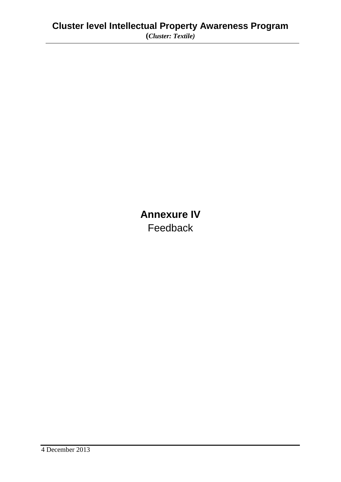**Annexure IV** Feedback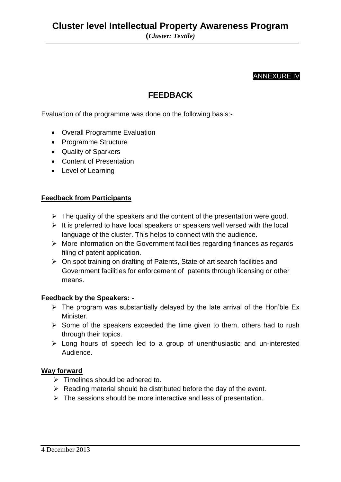#### ANNEXURE IV

### **FEEDBACK**

Evaluation of the programme was done on the following basis:-

- Overall Programme Evaluation
- Programme Structure
- Quality of Sparkers
- Content of Presentation
- Level of Learning

#### **Feedback from Participants**

- $\triangleright$  The quality of the speakers and the content of the presentation were good.
- $\triangleright$  It is preferred to have local speakers or speakers well versed with the local language of the cluster. This helps to connect with the audience.
- $\triangleright$  More information on the Government facilities regarding finances as regards filing of patent application.
- On spot training on drafting of Patents, State of art search facilities and Government facilities for enforcement of patents through licensing or other means.

#### **Feedback by the Speakers: -**

- $\triangleright$  The program was substantially delayed by the late arrival of the Hon'ble Ex Minister.
- $\triangleright$  Some of the speakers exceeded the time given to them, others had to rush through their topics.
- $\triangleright$  Long hours of speech led to a group of unenthusiastic and un-interested Audience.

#### **Way forward**

- $\triangleright$  Timelines should be adhered to.
- $\triangleright$  Reading material should be distributed before the day of the event.
- $\triangleright$  The sessions should be more interactive and less of presentation.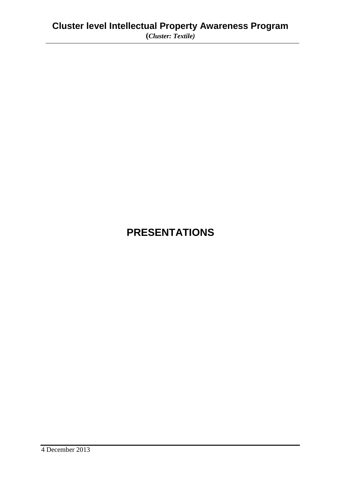# **PRESENTATIONS**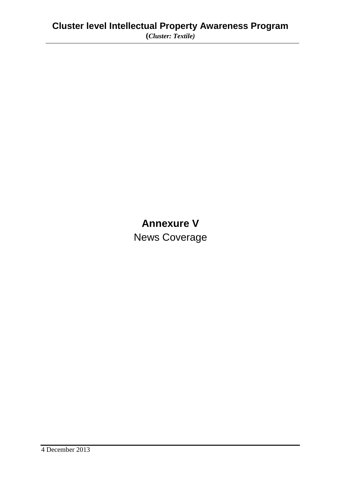# **Annexure V**

News Coverage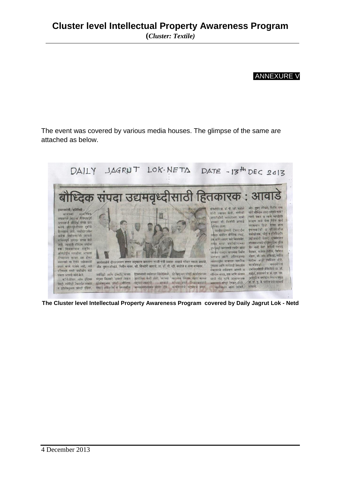#### ANNEXURE V

The event was covered by various media houses. The glimpse of the same are attached as below.



**The Cluster level Intellectual Property Awareness Program covered by Daily Jagrut Lok - Netd**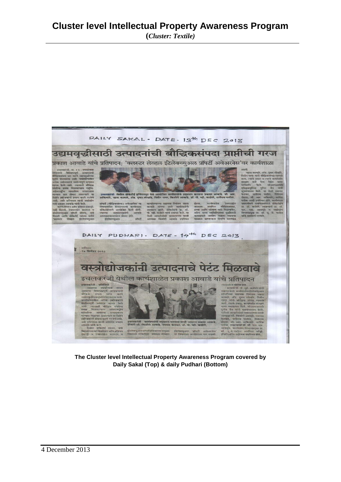

**The Cluster level Intellectual Property Awareness Program covered by Daily Sakal (Top) & daily Pudhari (Bottom)**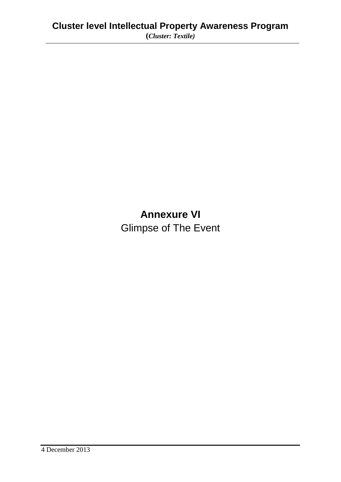# **Annexure VI** Glimpse of The Event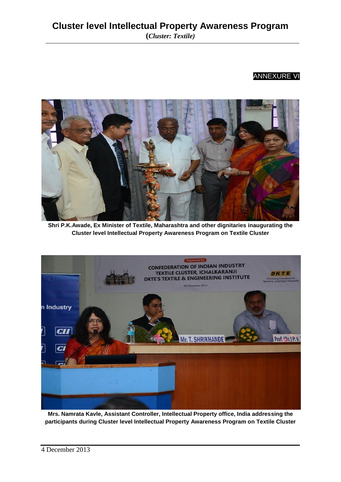#### ANNEXURE VI



**Shri P.K.Awade, Ex Minister of Textile, Maharashtra and other dignitaries inaugurating the Cluster level Intellectual Property Awareness Program on Textile Cluster**



**Mrs. Namrata Kavle, Assistant Controller, Intellectual Property office, India addressing the participants during Cluster level Intellectual Property Awareness Program on Textile Cluster**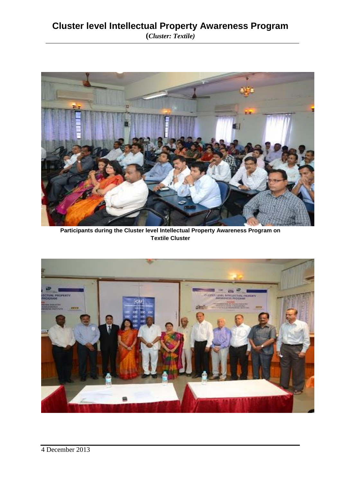

**Participants during the Cluster level Intellectual Property Awareness Program on Textile Cluster**

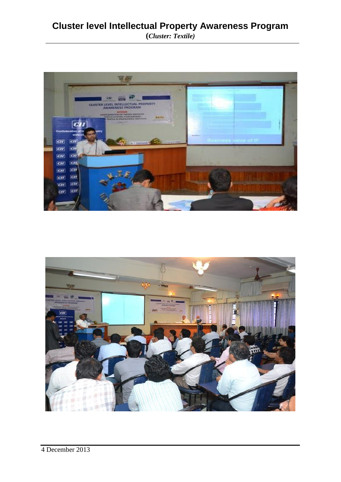### **Cluster level Intellectual Property Awareness Program (***Cluster: Textile)*



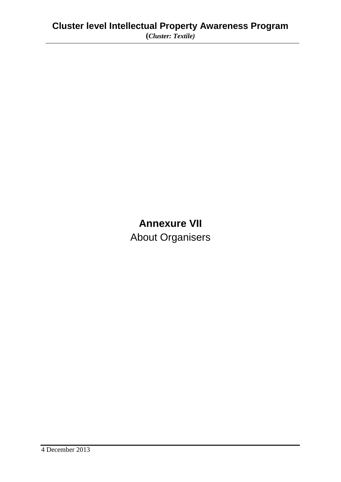# **Annexure VII** About Organisers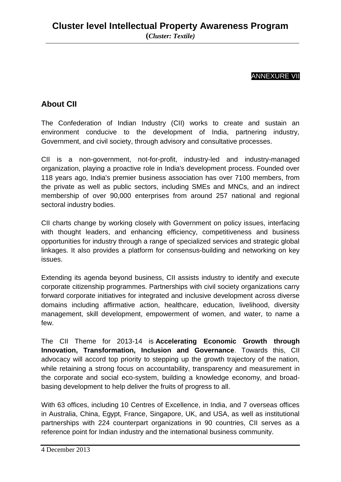#### ANNEXURE VII

### **About CII**

The Confederation of Indian Industry (CII) works to create and sustain an environment conducive to the development of India, partnering industry, Government, and civil society, through advisory and consultative processes.

CII is a non-government, not-for-profit, industry-led and industry-managed organization, playing a proactive role in India's development process. Founded over 118 years ago, India's premier business association has over 7100 members, from the private as well as public sectors, including SMEs and MNCs, and an indirect membership of over 90,000 enterprises from around 257 national and regional sectoral industry bodies.

CII charts change by working closely with Government on policy issues, interfacing with thought leaders, and enhancing efficiency, competitiveness and business opportunities for industry through a range of specialized services and strategic global linkages. It also provides a platform for consensus-building and networking on key issues.

Extending its agenda beyond business, CII assists industry to identify and execute corporate citizenship programmes. Partnerships with civil society organizations carry forward corporate initiatives for integrated and inclusive development across diverse domains including affirmative action, healthcare, education, livelihood, diversity management, skill development, empowerment of women, and water, to name a few.

The CII Theme for 2013-14 is **Accelerating Economic Growth through Innovation, Transformation, Inclusion and Governance**. Towards this, CII advocacy will accord top priority to stepping up the growth trajectory of the nation, while retaining a strong focus on accountability, transparency and measurement in the corporate and social eco-system, building a knowledge economy, and broadbasing development to help deliver the fruits of progress to all.

With 63 offices, including 10 Centres of Excellence, in India, and 7 overseas offices in Australia, China, Egypt, France, Singapore, UK, and USA, as well as institutional partnerships with 224 counterpart organizations in 90 countries, CII serves as a reference point for Indian industry and the international business community.